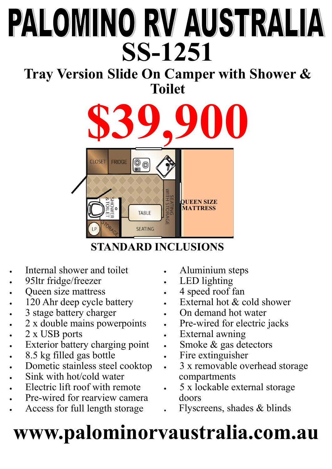# PALOMINO RV AUSTRALIA **SS-1251**

### **Tray Version Slide On Camper with Shower & Toilet**



#### **STANDARD INCLUSIONS**

- Internal shower and toilet
- 95ltr fridge/freezer
- Queen size mattress
- 120 Ahr deep cycle battery
- 3 stage battery charger
- 2 x double mains powerpoints
- 2 x USB ports
- **Exterior battery charging point**
- 8.5 kg filled gas bottle
- Dometic stainless steel cooktop
- Sink with hot/cold water
- Electric lift roof with remote
- Pre-wired for rearview camera
- Access for full length storage
- Aluminium steps
- LED lighting
- 4 speed roof fan
- External hot & cold shower
- On demand hot water
- Pre-wired for electric jacks
- External awning
- Smoke & gas detectors
- Fire extinguisher
- 3 x removable overhead storage compartments
- 5 x lockable external storage doors
- **.** Flyscreens, shades & blinds

## **www.palominorvaustralia.com.au**